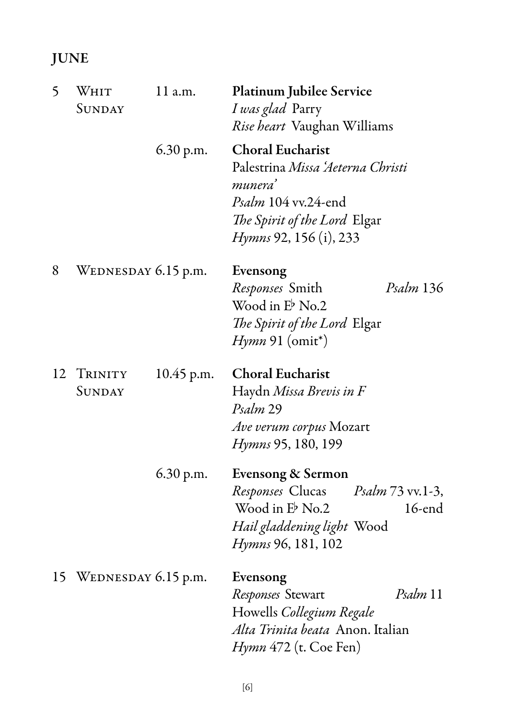## june

| 5  | WHIT<br>SUNDAY         | 11 a.m.    | Platinum Jubilee Service<br>I was glad Parry<br>Rise heart Vaughan Williams                                                                                                 |
|----|------------------------|------------|-----------------------------------------------------------------------------------------------------------------------------------------------------------------------------|
|    |                        | 6.30 p.m.  | <b>Choral Eucharist</b><br>Palestrina Missa 'Aeterna Christi<br>munera <sup>3</sup><br>Psalm 104 vv.24-end<br>The Spirit of the Lord Elgar<br><i>Hymns</i> 92, 156 (i), 233 |
| 8  | WEDNESDAY 6.15 p.m.    |            | Evensong<br>Responses Smith<br>Psalm 136<br>Wood in $E^{\flat}$ No.2<br>The Spirit of the Lord Elgar<br>$H$ <i>ymn</i> 91 (omit <sup>*</sup> )                              |
| 12 | Trinity<br>SUNDAY      | 10.45 p.m. | <b>Choral Eucharist</b><br>Haydn Missa Brevis in F<br>Psalm 29<br>Ave verum corpus Mozart<br>Hymns 95, 180, 199                                                             |
|    |                        | 6.30 p.m.  | <b>Evensong &amp; Sermon</b><br>Responses Clucas<br><i>Psalm</i> 73 vv.1-3,<br>Wood in $E^{\flat}$ No.2<br>16-end<br>Hail gladdening light Wood<br>Hymns 96, 181, 102       |
|    | 15 WEDNESDAY 6.15 p.m. |            | Evensong<br>Psalm 11<br>Responses Stewart<br>Howells Collegium Regale<br>Alta Trinita beata Anon. Italian<br><i>Hymn</i> 472 (t. Coe Fen)                                   |